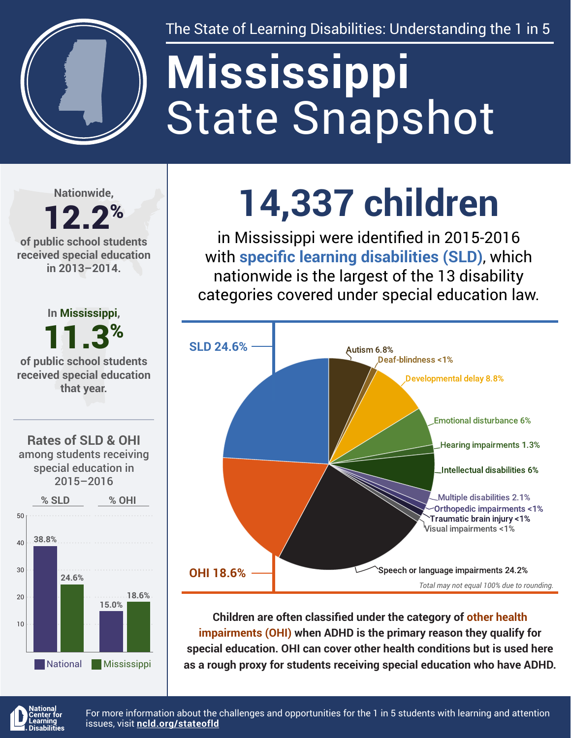

The State of Learning Disabilities: Understanding the 1 in 5

# State Snapshot **Mississippi**

**Nationwide,**

## 12.2% **of public school students**

**received special education in 2013–2014.**



**14,337 children**

in Mississippi were identified in 2015-2016 with **specific learning disabilities (SLD)**, which nationwide is the largest of the 13 disability categories covered under special education law.



**Children are often classified under the category of other health impairments (OHI) when ADHD is the primary reason they qualify for special education. OHI can cover other health conditions but is used here as a rough proxy for students receiving special education who have ADHD.**



For more information about the challenges and opportunities for the 1 in 5 students with learning and attention issues, visit **[ncld.org/stateofld](http://ncld.org/stateofld)**